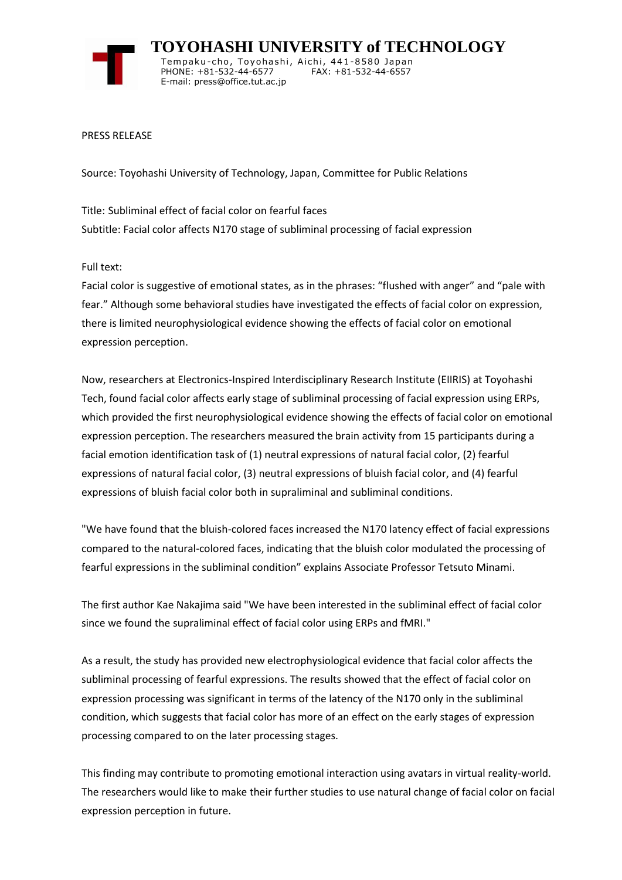

 **TOYOHASHI UNIVERSITY of TECHNOLOGY** Tempaku-cho, Toyohashi, Aichi, 441-8580 Japan PHONE: +81-532-44-6577 FAX: +81-532-44-6557 E-mail: press@office.tut.ac.jp

PRESS RELEASE

Source: Toyohashi University of Technology, Japan, Committee for Public Relations

Title: Subliminal effect of facial color on fearful faces Subtitle: Facial color affects N170 stage of subliminal processing of facial expression

Full text:

Facial color is suggestive of emotional states, as in the phrases: "flushed with anger" and "pale with fear." Although some behavioral studies have investigated the effects of facial color on expression, there is limited neurophysiological evidence showing the effects of facial color on emotional expression perception.

Now, researchers at Electronics-Inspired Interdisciplinary Research Institute (EIIRIS) at Toyohashi Tech, found facial color affects early stage of subliminal processing of facial expression using ERPs, which provided the first neurophysiological evidence showing the effects of facial color on emotional expression perception. The researchers measured the brain activity from 15 participants during a facial emotion identification task of (1) neutral expressions of natural facial color, (2) fearful expressions of natural facial color, (3) neutral expressions of bluish facial color, and (4) fearful expressions of bluish facial color both in supraliminal and subliminal conditions.

"We have found that the bluish-colored faces increased the N170 latency effect of facial expressions compared to the natural-colored faces, indicating that the bluish color modulated the processing of fearful expressions in the subliminal condition" explains Associate Professor Tetsuto Minami.

The first author Kae Nakajima said "We have been interested in the subliminal effect of facial color since we found the supraliminal effect of facial color using ERPs and fMRI."

As a result, the study has provided new electrophysiological evidence that facial color affects the subliminal processing of fearful expressions. The results showed that the effect of facial color on expression processing was significant in terms of the latency of the N170 only in the subliminal condition, which suggests that facial color has more of an effect on the early stages of expression processing compared to on the later processing stages.

This finding may contribute to promoting emotional interaction using avatars in virtual reality-world. The researchers would like to make their further studies to use natural change of facial color on facial expression perception in future.